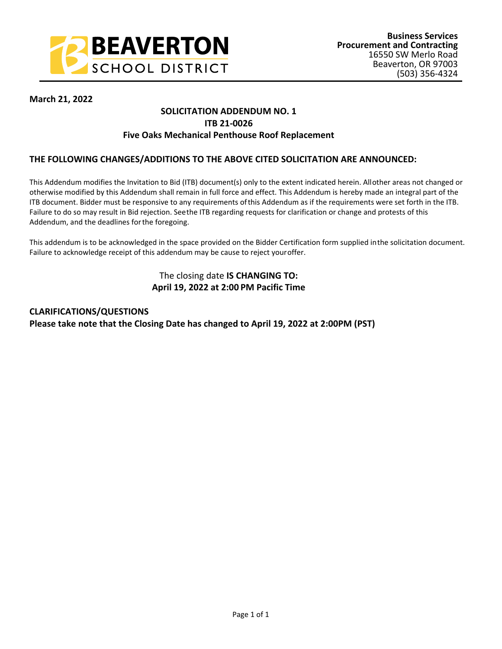

## **March 21, 2022**

# **SOLICITATION ADDENDUM NO. 1 ITB 21-0026 Five Oaks Mechanical Penthouse Roof Replacement**

### **THE FOLLOWING CHANGES/ADDITIONS TO THE ABOVE CITED SOLICITATION ARE ANNOUNCED:**

This Addendum modifies the Invitation to Bid (ITB) document(s) only to the extent indicated herein. All other areas not changed or otherwise modified by this Addendum shall remain in full force and effect. This Addendum is hereby made an integral part of the ITB document. Bidder must be responsive to any requirements of this Addendum as if the requirements were set forth in the ITB. Failure to do so may result in Bid rejection. See the ITB regarding requests for clarification or change and protests of this Addendum, and the deadlines for the foregoing.

This addendum is to be acknowledged in the space provided on the Bidder Certification form supplied in the solicitation document. Failure to acknowledge receipt of this addendum may be cause to reject your offer.

# The closing date **IS CHANGING TO: April 19, 2022 at 2:00 PM Pacific Time**

**CLARIFICATIONS/QUESTIONS Please take note that the Closing Date has changed to April 19, 2022 at 2:00PM (PST)**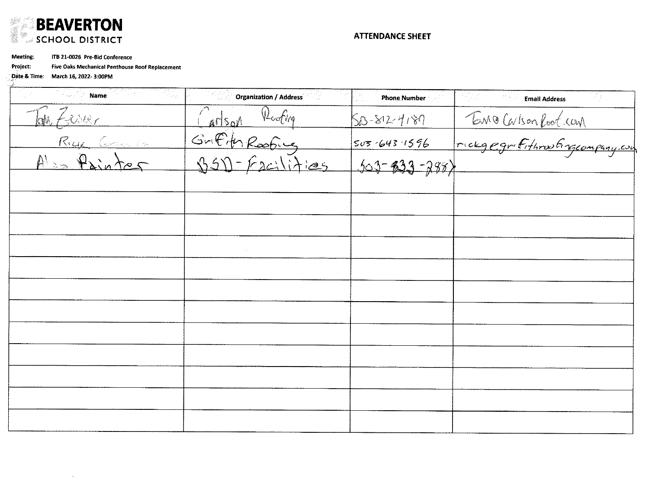

**ATTENDANCE SHEET** 

Meeting: ITB 21-0026 Pre-Bid Conference

 $\sim 10$ 

Five Oaks Mechanical Penthouse Roof Replacement Project:

Date & Time: March 16, 2022- 3:00PM

| 3201 <sub>340</sub><br>- 원래 1<br><b>Name</b> | <b>Organization / Address</b>                           | <b>Phone Number</b>                     | <b>Email Address</b>  |
|----------------------------------------------|---------------------------------------------------------|-----------------------------------------|-----------------------|
| En Zesser                                    | Carlson Reding<br>Griffith Roofing<br>1950 - Facilities | 50-812-4189                             | Tomo Carlson Root.com |
| Rue Carle                                    |                                                         |                                         |                       |
| Also Painter                                 |                                                         | $503 - 643 - 1596$<br>$303 - 833 - 288$ |                       |
|                                              |                                                         |                                         |                       |
|                                              |                                                         |                                         |                       |
|                                              |                                                         |                                         |                       |
|                                              |                                                         |                                         |                       |
|                                              |                                                         |                                         |                       |
|                                              |                                                         |                                         |                       |
|                                              |                                                         |                                         |                       |
|                                              |                                                         |                                         |                       |
|                                              |                                                         |                                         |                       |
|                                              |                                                         |                                         |                       |
|                                              |                                                         |                                         |                       |
|                                              |                                                         |                                         |                       |
|                                              |                                                         |                                         |                       |